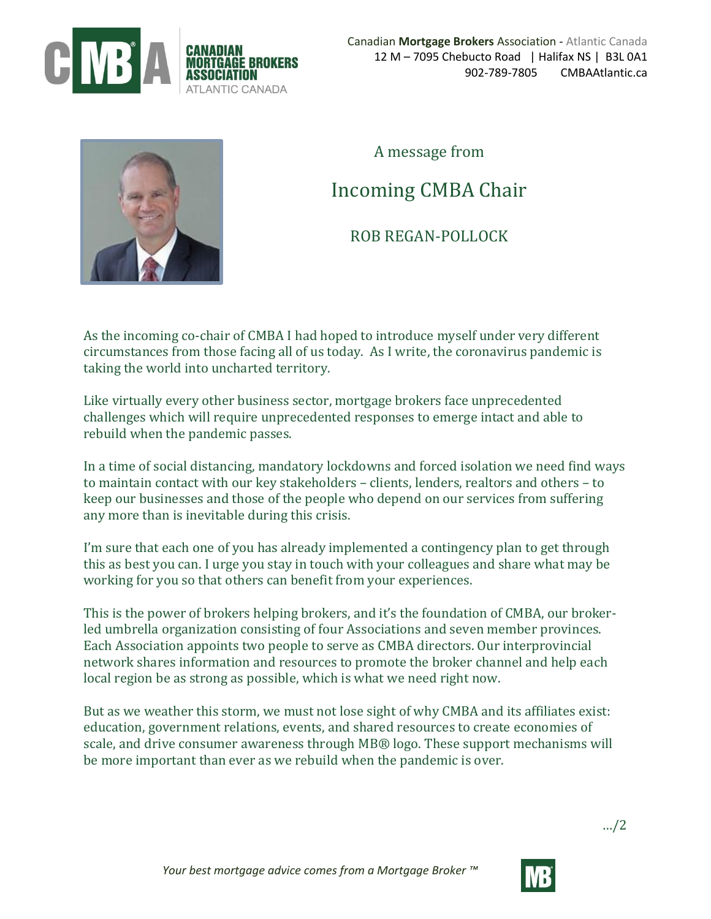



A message from

## Incoming CMBA Chair

## ROB REGAN-POLLOCK

As the incoming co-chair of CMBA I had hoped to introduce myself under very different circumstances from those facing all of us today. As I write, the coronavirus pandemic is taking the world into uncharted territory.

Like virtually every other business sector, mortgage brokers face unprecedented challenges which will require unprecedented responses to emerge intact and able to rebuild when the pandemic passes.

In a time of social distancing, mandatory lockdowns and forced isolation we need find ways to maintain contact with our key stakeholders – clients, lenders, realtors and others – to keep our businesses and those of the people who depend on our services from suffering any more than is inevitable during this crisis.

I'm sure that each one of you has already implemented a contingency plan to get through this as best you can. I urge you stay in touch with your colleagues and share what may be working for you so that others can benefit from your experiences.

This is the power of brokers helping brokers, and it's the foundation of CMBA, our brokerled umbrella organization consisting of four Associations and seven member provinces. Each Association appoints two people to serve as CMBA directors. Our interprovincial network shares information and resources to promote the broker channel and help each local region be as strong as possible, which is what we need right now.

But as we weather this storm, we must not lose sight of why CMBA and its affiliates exist: education, government relations, events, and shared resources to create economies of scale, and drive consumer awareness through MB® logo. These support mechanisms will be more important than ever as we rebuild when the pandemic is over.